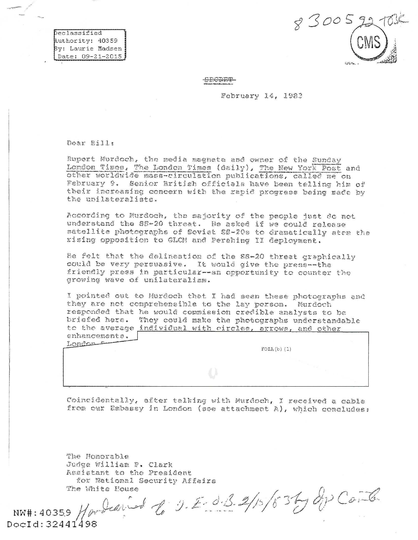Declassified Authority: 40359 By: Laurie Madsen Date: 09-21-2015

 $83005$ 

**SECRET** 

February 14, 1983

Dear Bill:

Rupert Murdoch, the media magnate and owner of the Sunday London Times, The London Times (daily), The New York Post and other worldwide mass-circulation publications, called me on February 9. Senior British officials have been telling him of their increasing concern with the rapid progress being made by the unilateralists.

According to Murdoch, the majority of the people just do not understand the SS-20 threat. He asked if we could release satellite photographs of Soviet SS-20s to dramatically stem the rising opposition to GLCM and Perahing II deployment.

He felt that the delineation of the SS-20 threat graphically could be very persuasive. It would give the press--the friendly press in particular--an opportunity to counter the growing wave of unilateralism.

I pointed out to Murdoch that I had seen these photographs and they are not comprehensible to the lay person. Murdoch responded that he would commission credible analysts to be briefed here. They could make the photographs understandable to the average individual with circles, arrows, and other enhancements. London

 $FOIA(b)$  (1)

Coincidentally, after talking with Murdoch, I received a cable from our Embassy in London (see attachment A), which concludes:

The Honorable Judge William P. Clark Assistant to the President for National Security Affairs The White House

NW#: 40359 Harbeau and to J.E. d. 3. 2/15/83by du Coule  $DocId: 32441498$